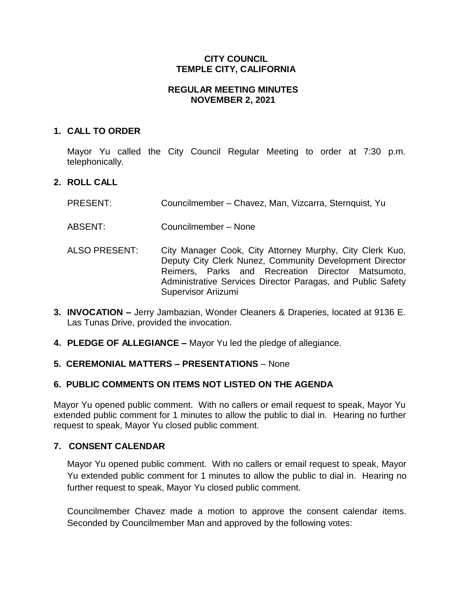# **CITY COUNCIL TEMPLE CITY, CALIFORNIA**

### **REGULAR MEETING MINUTES NOVEMBER 2, 2021**

## **1. CALL TO ORDER**

Mayor Yu called the City Council Regular Meeting to order at 7:30 p.m. telephonically.

# **2. ROLL CALL**

- PRESENT: Councilmember Chavez, Man, Vizcarra, Sternquist, Yu
- ABSENT: Councilmember None
- ALSO PRESENT: City Manager Cook, City Attorney Murphy, City Clerk Kuo, Deputy City Clerk Nunez, Community Development Director Reimers, Parks and Recreation Director Matsumoto, Administrative Services Director Paragas, and Public Safety Supervisor Ariizumi
- **3. INVOCATION –** Jerry Jambazian, Wonder Cleaners & Draperies, located at 9136 E. Las Tunas Drive, provided the invocation.
- **4. PLEDGE OF ALLEGIANCE –** Mayor Yu led the pledge of allegiance.

# **5. CEREMONIAL MATTERS – PRESENTATIONS** – None

# **6. PUBLIC COMMENTS ON ITEMS NOT LISTED ON THE AGENDA**

Mayor Yu opened public comment. With no callers or email request to speak, Mayor Yu extended public comment for 1 minutes to allow the public to dial in. Hearing no further request to speak, Mayor Yu closed public comment.

### **7. CONSENT CALENDAR**

Mayor Yu opened public comment. With no callers or email request to speak, Mayor Yu extended public comment for 1 minutes to allow the public to dial in. Hearing no further request to speak, Mayor Yu closed public comment.

Councilmember Chavez made a motion to approve the consent calendar items. Seconded by Councilmember Man and approved by the following votes: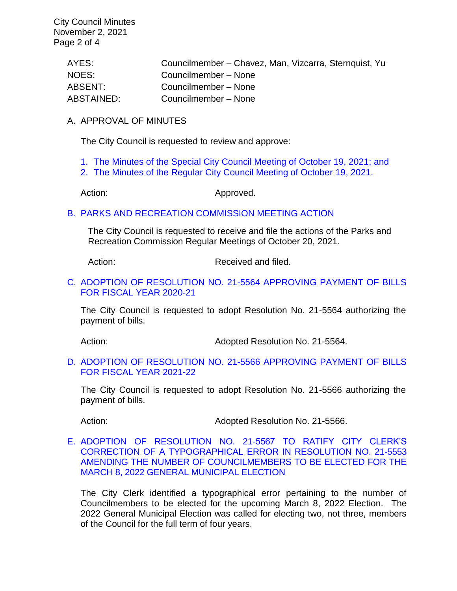City Council Minutes November 2, 2021 Page 2 of 4

| AYES:      | Councilmember – Chavez, Man, Vizcarra, Sternquist, Yu |
|------------|-------------------------------------------------------|
| NOES:      | Councilmember - None                                  |
| ABSENT:    | Councilmember - None                                  |
| ABSTAINED: | Councilmember - None                                  |

#### A. APPROVAL OF MINUTES

The City Council is requested to review and approve:

- 1. The Minutes of the Special [City Council Meeting of October 19, 2021; and](https://www.ci.temple-city.ca.us/DocumentCenter/View/16932/7A1_CCM---2021-10-19-Special)
- 2. [The Minutes of the Regular City Council Meeting of October 19,](https://www.ci.temple-city.ca.us/DocumentCenter/View/16933/7A2_CCM---2021-10-19) 2021.

Action: Approved.

#### B. [PARKS AND RECREATION](https://www.ci.temple-city.ca.us/DocumentCenter/View/16934/7B_PRC-Regular-Meeting-Actions_Staff-Report) COMMISSION MEETING ACTION

The City Council is requested to receive and file the actions of the Parks and Recreation Commission Regular Meetings of October 20, 2021.

Action: Received and filed.

### C. [ADOPTION OF RESOLUTION NO. 21-5564 APPROVING PAYMENT OF BILLS](https://www.ci.temple-city.ca.us/DocumentCenter/View/16935/7B_Reso-No-21-5564-110221---Warrants--Demands-FY-2020-2021-w-attachment)  [FOR FISCAL YEAR 2020-21](https://www.ci.temple-city.ca.us/DocumentCenter/View/16935/7B_Reso-No-21-5564-110221---Warrants--Demands-FY-2020-2021-w-attachment)

The City Council is requested to adopt Resolution No. 21-5564 authorizing the payment of bills.

Action: Mathematic Monet Adopted Resolution No. 21-5564.

#### D. [ADOPTION OF RESOLUTION NO. 21-5566](https://www.ci.temple-city.ca.us/DocumentCenter/View/16936/7D_Reso-No-21-5566-110221---Warrants--Demands-FY-2021-2022-w-attachment) APPROVING PAYMENT OF BILLS [FOR FISCAL YEAR 2021-22](https://www.ci.temple-city.ca.us/DocumentCenter/View/16936/7D_Reso-No-21-5566-110221---Warrants--Demands-FY-2021-2022-w-attachment)

The City Council is requested to adopt Resolution No. 21-5566 authorizing the payment of bills.

Action: Mathematic Muslim Adopted Resolution No. 21-5566.

E. [ADOPTION OF RESOLUTION NO. 21-5567 TO RATIFY CITY CLERK'S](https://www.ci.temple-city.ca.us/DocumentCenter/View/16940/07-7E_Staff-Report--Resolution-21-5567-Correction-to-Reso-No-21-5553-Call-for-Election-w-at)  [CORRECTION OF A TYPOGRAPHICAL ERROR IN RESOLUTION](https://www.ci.temple-city.ca.us/DocumentCenter/View/16940/07-7E_Staff-Report--Resolution-21-5567-Correction-to-Reso-No-21-5553-Call-for-Election-w-at) NO. 21-5553 [AMENDING THE NUMBER OF COUNCILMEMBERS TO BE ELECTED FOR THE](https://www.ci.temple-city.ca.us/DocumentCenter/View/16940/07-7E_Staff-Report--Resolution-21-5567-Correction-to-Reso-No-21-5553-Call-for-Election-w-at)  [MARCH 8, 2022 GENERAL MUNICIPAL ELECTION](https://www.ci.temple-city.ca.us/DocumentCenter/View/16940/07-7E_Staff-Report--Resolution-21-5567-Correction-to-Reso-No-21-5553-Call-for-Election-w-at)

The City Clerk identified a typographical error pertaining to the number of Councilmembers to be elected for the upcoming March 8, 2022 Election. The 2022 General Municipal Election was called for electing two, not three, members of the Council for the full term of four years.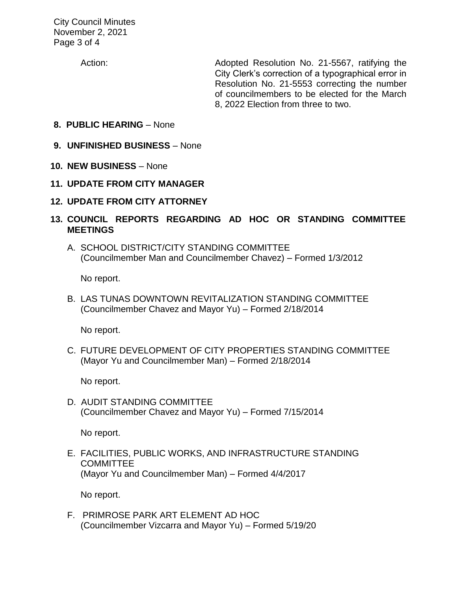City Council Minutes November 2, 2021 Page 3 of 4

Action: Adopted Resolution No. 21-5567, ratifying the City Clerk's correction of a typographical error in Resolution No. 21-5553 correcting the number of councilmembers to be elected for the March 8, 2022 Election from three to two.

- **8. PUBLIC HEARING** None
- **9. UNFINISHED BUSINESS** None
- **10. NEW BUSINESS**  None
- **11. UPDATE FROM CITY MANAGER**
- **12. UPDATE FROM CITY ATTORNEY**
- **13. COUNCIL REPORTS REGARDING AD HOC OR STANDING COMMITTEE MEETINGS** 
	- A. SCHOOL DISTRICT/CITY STANDING COMMITTEE (Councilmember Man and Councilmember Chavez) – Formed 1/3/2012

No report.

B. LAS TUNAS DOWNTOWN REVITALIZATION STANDING COMMITTEE (Councilmember Chavez and Mayor Yu) – Formed 2/18/2014

No report.

C. FUTURE DEVELOPMENT OF CITY PROPERTIES STANDING COMMITTEE (Mayor Yu and Councilmember Man) – Formed 2/18/2014

No report.

D. AUDIT STANDING COMMITTEE (Councilmember Chavez and Mayor Yu) – Formed 7/15/2014

No report.

E. FACILITIES, PUBLIC WORKS, AND INFRASTRUCTURE STANDING **COMMITTEE** (Mayor Yu and Councilmember Man) – Formed 4/4/2017

No report.

F. PRIMROSE PARK ART ELEMENT AD HOC (Councilmember Vizcarra and Mayor Yu) – Formed 5/19/20